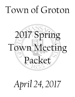# Town of Groton



# *April 24, 2017*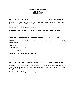# **SPRING TOWN MEETING MOTIONS APRIL 24, 2017**

### ARTICLE 1: HEAR REPORTS Mover: John Petropoulos

**MOTION:** I move that the Town vote to hear and receive the report of the Board of Selectmen and other Town Officers and Committees.

 $\mathcal{L}_\text{max}$  , where  $\mathcal{L}_\text{max}$  and  $\mathcal{L}_\text{max}$ 

**Quantum of Town Meeting Vote: Majority** 

**Scheduled to Give Reports: Groton Dunstable Regional School Committee**

### **ARTICLE 2: ELECTED OFFICIALS' COMPENSATION Mover: Anna Eliot**

**MOTION:** I move that the Town vote to allow the following compensation for the following elected officials:

Town Clerk \$80,689 Town Moderator \$ 65

for the ensuing year.

**Quantum of Town Meeting Vote: Majority** 

# **ARTICLE 3: WAGE AND CLASSIFICATION SCHEDULE Mover: Joshua Degen**

**MOTION:** I move that the Town vote to amend and adopt for Fiscal Year 2018 the Town of Groton Wage and Classification schedule as shown in Appendix B of the Warrant for the 2017 Spring Town Meeting.

 $\frac{1}{2}$  , and the set of the set of the set of the set of the set of the set of the set of the set of the set of the set of the set of the set of the set of the set of the set of the set of the set of the set of the set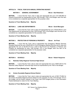# **ARTICLE 4: FISCAL YEAR 2018 ANNUAL OPERATING BUDGET**

# **MOTION 1: GENERAL GOVERNMENT Mover: Bud Robertson**

**MOTION:** I move that the Town vote to raise and appropriate the sum of \$1,946,980 for General Government as represented by lines 1000 through 1182 in the Budget; each line item to be considered as a separate appropriation for the purposes voted.

### **Quantum of Town Meeting Vote: Majority**

### **MOTION 2: LAND USE DEPARTMENTS MOTION CONSUMING MOTION AND MOVER DAVID MANUGIAN**

**MOTION:** I move that the Town vote to raise and appropriate the sum of \$434,948 for Land Use Departments as represented by lines 1200 through 1281 in the Budget; each line item to be considered as a separate appropriation for the purposes voted.

### **Quantum of Town Meeting Vote: Majority**

### **MOTION 3: PROTECTION OF PERSONS & PROPERTY Mover: Art Prest**

**MOTION:** I move that the Town vote to appropriate from Emergency Medical Services Receipts Reserved the sum of \$225,000 to Fire & Emergency Medical Services and to raise and appropriate the sum of \$3,547,214 for a total of \$3,772,214 for Protection of Persons and Property as represented by lines 1300 through 1372 in the Budget; each line item to be considered as a separate appropriation for the purposes voted.

### **Quantum of Town Meeting Vote: Majority**

# **a.) Nashoba Valley Regional Technical High School**

**MOTION:** I move that the Town vote to raise and appropriate the sum of \$607,520 for the Nashoba Valley Regional Technical High School as represented by line 1400 in the Budget.

### **Quantum of Town Meeting Vote: Majority**

# **b.) Groton Dunstable Regional School District**

**MOTION:** I move that the Town vote to raise and appropriate the sum of \$20,175,864 for the Groton Dunstable Regional School District for the purposes of Lines 1410 through 1413 in the budget, and as further outlined in the Fiscal Year 2018 budget portion of the Information Packet distributed to voters for this Town Meeting.

# **Quantum of Town Meeting Vote: Majority**

2017 Spring Town Meeting Motions Page 2

# **MOTION 4: SCHOOLS MOTION AND MOVER IN RIGHT MOTION AT A LIGHT MOTION AT A LIGHT MOTION AT A LIGHT MOTION AND MOTION AT A LIGHT MOTION AND MOTION AND MOVER IN RIGHT MOTION AND MOTION AT A LIGHT MOTION AT A LIGHT MOTION AT**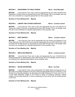### **MOTION 5: DEPARTMENT OF PUBLIC WORKS Mover: David Manugian**

**MOTION:** I move that the Town vote to raise and appropriate the sum of \$2,136,809 for the Department of Public Works as represented by lines 1500 through 1561 in the Budget; each line item to be considered as a separate appropriation for the purposes voted.

### **Quantum of Town Meeting Vote: Majority**

### **MOTION 6: LIBRARY AND CITIZEN'S SERVICES Mover: Lorraine Leonard**

**MOTION:** I move that the Town vote to raise and appropriate the sum of \$1,595,272 for Library and Citizen's Services as represented by lines 1600 through 1703 in the Budget; each line item to be considered as a separate appropriation for the purposes voted.

### **Quantum of Town Meeting Vote: Majority**

### **MOTION 7: DEBT SERVICE CONSUMING MOVER: LOTTAINE LEONARD MOVER:**

**MOTION:** I move that the Town vote to appropriate from the Excess and Deficiency Fund (Free Cash) the sum of \$132,300 and to raise and appropriate the sum of \$1,332,019 for a total of \$1,464,319 for Debt Service as represented by lines 2000 through 2007 in the Budget; each line item to be considered as a separate appropriation for the purposes voted.

### **Quantum of Town Meeting Vote: Majority**

# **MOTION 8: EMPLOYEE BENEFITS CONSUMING MOVER: Lorraine Leonard CONSUMING MOVER**

**MOTION:** I move that the Town vote to raise and appropriate the sum of \$3,842,510 for Employee Benefits as represented by lines 3000 through 3012 in the Budget; each line item to be considered as a separate appropriation for the purposes voted.

### **Quantum of Town Meeting Vote: Majority**

# **MOTION 9: WATER ENTERPRISE MOTION 19: WATER ENTERPRISE**

**MOTION:** I move that the Town vote to appropriate from Water Rates and Fees the sum of \$972,365 to the Water Enterprise Fund and to raise and appropriate the sum of \$159,571 in the General Fund Operating Budget to be allocated to the Water Enterprise for Fiscal Year 2018, for a total Water Enterprise budget of \$1,131,936 to defray all operating expenses, interest charges, and principal payments on bonds outstanding as they accrue and any reimbursement to the Town.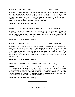### **MOTION 10: SEWER ENTERPRISE MOTION 10: SEWER ENTERPRISE**

### **MOTION:** I move that the Town vote to transfer from Sewer Enterprise Excess and Deficiency the sum of \$50,903, appropriate from Sewer Rates and Fees the sum of \$620,948 and to raise and appropriate the sum of \$27,989 in the General Fund Operating Budget to be allocated to the Sewer Enterprise for Fiscal Year 2018, for a total Sewer Enterprise budget of \$699,840 to defray all operating expenses, interest charges, and principal payments on bonds outstanding as they accrue and any reimbursement to the Town.

# **Quantum of Town Meeting Vote: Majority**

# **MOTION 11: LOCAL ACCESS CABLE ENTERPRISE Mover: Jon Sjoberg**

**MOTION:** I move that the Town vote to appropriate from Local Access Cable Fees the sum of \$153,065 and to raise and appropriate the sum of \$53,389 in the General Fund Operating Budget to be allocated to the Local Access Cable Enterprise for Fiscal Year 2018 for a total budget of \$206,454 to defray all operating expenses and any reimbursement to the Town.

# **Quantum of Town Meeting Vote: Majority**

# **MOTION 12: ELECTRIC LIGHT MOTION 12: ELECTRIC LIGHT**

**MOTION:** I move that the Town vote to appropriate the income from the sale of electricity to private consumers or for electricity supplied to municipal buildings or from municipal power and from the sale of jobbing during Fiscal Year 2018 for the Groton Electric Light Department; the whole to be expended by the Manager of that department under the direction and control of the Board of Electric Light Commissioners for the expenses of the ensuing fiscal year as defined in Section 57 of Chapter 164 of the General Laws of the Commonwealth. The total fund to be appropriated is -0-.

 $\frac{1}{2}$  , and the set of the set of the set of the set of the set of the set of the set of the set of the set of the set of the set of the set of the set of the set of the set of the set of the set of the set of the set

# **Quantum of Town Meeting Vote: Majority**

# **ARTICLE 5: APPROPRIATE FUNDING FOR OPEB TRUST Mover: Barry Pease**

**MOTION:** I move that the Town vote to transfer from the Excess and Deficiency Fund (Free Cash) the sum of \$100,000 and to transfer the sum of \$200,000 from Line Item 3010 "Health Insurance/Employee Expenses" of the Fiscal Year 2018 Town Operating Budget adopted under Article 4 of the 2017 Spring Town Meeting, for a total of \$300,000, to be expended by the Town Manager, to be added to the Other Post-Employment Benefits Liability Trust Fund as authorized by Massachusetts General Laws, Chapter 32B, Section 20.

# **Quantum of Town Meeting Vote: Majority**

2017 Spring Town Meeting Motions Page 4

 $\mathcal{L}_\text{max}$  , where  $\mathcal{L}_\text{max}$  and  $\mathcal{L}_\text{max}$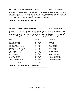### **ARTICLE 6: PILOT PROGRAM FOR CALL EMT Mover: Bud Robertson**

**MOTION:** I move that the Town vote to raise and appropriate the sum of \$73,000, to be added to Line Item 1311 *"Fire Department Wages"* of the Fiscal Year 2018 Operating Budget for the purpose of establishing a Pilot Program providing additional compensation as an incentive to sign up for call shifts, and all costs associated and related thereto.

 $\mathcal{L}_\text{max}$  , where  $\mathcal{L}_\text{max}$  and  $\mathcal{L}_\text{max}$ 

### **Quantum of Town Meeting Vote: Majority**

### **ARTICLE 7: FISCAL YEAR 2018 CAPITAL BUDGET Mover: Joshua Degen**

**MOTION:** I move that the Town vote to transfer the sum of \$415,692 from the Capital Stabilization Fund; transfer the sum of \$41,000 from Emergency Medical Services Receipts Reserved; and transfer the sum of \$60,000 from the Excess and Deficiency Fund (Free Cash); for a total of \$516,692, to be expended by the Town Manager, for the following capital items:

| 41,000<br>\$<br>70,000<br>\$<br>40,000<br>\$<br>60,000<br>\$                                | Fire/EMS<br>Highway<br><b>Town Facilities</b><br><b>Town Facilities</b>                                                                                               |
|---------------------------------------------------------------------------------------------|-----------------------------------------------------------------------------------------------------------------------------------------------------------------------|
| 40,000<br>\$<br>90,000<br>\$<br>30,000<br>\$<br>\$<br>91,092<br>\$<br>18,000<br>\$<br>6,500 | <b>Town Facilities</b><br>Town Facilities<br><b>Transfer Station</b><br>Library<br><b>Police Department</b><br><b>Police Department</b><br><b>Groton Country Club</b> |
| \$516,692                                                                                   | <b>Groton Country Club</b>                                                                                                                                            |
|                                                                                             | 25,000<br>\$<br>\$<br>5,100<br>2/3's Majority                                                                                                                         |

2017 Spring Town Meeting Motions Page 5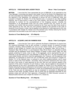# ARTICLE 8: PURCHASE NEW LADDER TRUCK Mover: Peter Cunningham

**MOTION:** I move that the Town appropriate the sum of \$995,000, to be expended by the Town Manager, to purchase and equip a new Ladder Truck for the Groton Fire Department, and all costs associated and related thereto, and that to meet this appropriation, the Treasurer, with the approval of the Selectmen, be authorized to borrow the sum of \$995,000 under and pursuant to Chapter 44, Section 7(1) of the General Laws, or pursuant to any other enabling authority, and to issue bonds or notes of the Town therefor, and that the Town Manager be authorized to contract for the accomplishment of the foregoing purpose, including the expenditure of all appropriated funds and any funds received from any source for such purchase, and, further, that any premium received by the Town upon the sale of any bonds or notes approved by this vote, less any such premium applied to the payment of the costs of issuance of such bonds or notes, may be applied to the payment of costs approved by this vote in accordance with Chapter 44, Section 20 of the General Laws, thereby reducing the amount authorized to be borrowed to pay such costs by a like amount.

 $\mathcal{L}_\text{max}$  , where  $\mathcal{L}_\text{max}$  and  $\mathcal{L}_\text{max}$ 

### **Quantum of Town Meeting Vote: 2/3's Majority**

# **ARTICLE 9: ACQUIRE LAND ON FARMERS ROW Mover: Peter Cunningham**

**MOTION:** I move that the Town vote to authorize the Board of Selectmen to acquire from the Lawrence Homestead Trust by gift, purchase, or eminent domain, for general municipal purposes, including, without limitation, for use as a new Senior Center, all or a portion of the parcels of land located on Farmer's Row and shown on Assessors' Map 108 as Parcel 1, Assessors' Map 108 as Parcel 1.2, and Assessors' Map 108 as Parcel 1.3, described in deeds recorded with the Middlesex South District Registry of Deeds in Book 25424, Page 109, said parcels containing 8.4 acres, more or less, in the aggregate, and to appropriate the sum of \$790,000, to be expended by the Town Manager in Fiscal Year 2017, for such acquisition and costs related thereto, and that to meet this appropriation, the Treasurer, with the approval of the Selectmen, be authorized to borrow the sum of \$790,000 under and pursuant to Chapter 44, Section 7(1) of the General Laws, or pursuant to any other enabling authority, and to issue bonds or notes of the Town therefor; and further, that any premium received by the Town upon the sale of any bonds or notes approved by this vote, less any such premium applied to the payment of the costs of issuance of such bonds or notes, may be applied to the payment of costs approved by this vote in accordance with Chapter 44, Section 20 of the General Laws, thereby reducing the amount authorized to be borrowed to pay such costs by a like amount, and further to authorize the Board of Selectmen to enter into all agreements and execute on behalf of the Town any and all instruments as may be necessary or convenient to effectuate the purpose of this article, provided, however, that no funds may be expended hereunder for this purpose unless and until the Town approves a Proposition 2½ Debt Exclusion pursuant to Massachusetts General Laws Chapter 59, Section 21C, Clause (k).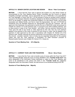# **ARTICLE 10: SENIOR CENTER LOCATION AND DESIGN Mover: Peter Cunningham**

**MOTION:** I move that the Town vote to approve the location of a new Senior Center as recommended by the Town Meeting Senior Center Committee and the Council on Aging's Feasibility Oversight Committee, and to appropriate the sum of \$400,000, to be expended by the Town Manager in Fiscal Year 2017, for the purpose of hiring an architect and/or engineer, pursuant to the Designer Selection Guidelines adopted by the Board of Selectmen in December, 2010, for the design, or design and construction bidding, of a new Senior Center, and all costs associated and related thereto, and that to meet this appropriation, the sum of \$175,000 be transferred from the Receipts Reserved for Appropriation and that the Treasurer, with the approval of the Selectmen, be authorized to borrow the sum of \$225,000 under and pursuant to Chapter 44, Section 7(7) of the General Laws, or pursuant to any other enabling authority, and to issue bonds or notes of the Town therefor; and further, that any premium received by the Town upon the sale of any bonds or notes approved by this vote, less any such premium applied to the payment of the costs of issuance of such bonds or notes, may be applied to the payment of costs approved by this vote in accordance with Chapter 44, Section 20 of the General Laws, thereby reducing the amount authorized to be borrowed to pay such costs by a like amount; provided, however, that no funds may be expended hereunder for this purpose unless and until the Town approves a Proposition 2½ Debt Exclusion pursuant to Massachusetts General Laws Chapter 59, Section 21C, Clause (k).

# **Quantum of Town Meeting Vote: 2/3's Majority**

# **ARTICLE 11: CURRENT YEAR LINE ITEM TRANSFERS Mover: Barry Pease**

**MOTION:** I move that the Town vote to transfer sums of money within the Fiscal Year 2017 Town Operating Budget, being the sums of money identified in the **"Transfer funds from"** line items designated in the Information Packet distributed to voters for this Town Meeting, said sums to be transferred to the various line items in the **"Transfer funds to"** categories designated within the Information Packet, the total amount to be transferred being \$158,749.

 $\mathcal{L}_\text{max}$  , where  $\mathcal{L}_\text{max}$  and  $\mathcal{L}_\text{max}$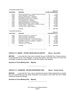|           | <b>Transfer funds from:</b>                 |                         |                          |
|-----------|---------------------------------------------|-------------------------|--------------------------|
|           |                                             |                         | Amount                   |
| Line Item | Account                                     |                         | <b>To Be Transferred</b> |
|           |                                             |                         |                          |
| 1023      | Board of Selectmen - Engineering/Consultant | \$                      | 1,700                    |
| 1032      | Town Manager - Expenses                     | \$                      | 13,800                   |
| 1060      | Board of Assessors - Salaries               | \$                      | 450                      |
| 1182      | Postage/Town Hall - Expenses                | \$                      | 6.500                    |
| 1250      | Mechanical Inspectors - Salaries            | \$                      | 6.000                    |
| 1311      | Fire Department - Wages                     | \$                      | 31.294                   |
| 1312      | Fire Department - Expenses                  | \$                      | 19,200                   |
| 1502      | <b>Highway Department - Expenses</b>        | \$                      | 10,000                   |
| 1542      | Municipal Buildings - Minor Capital         | \$                      | 25.000                   |
| 1681      | Water Safety - Expenses and Minor Capital   | \$                      | 7,805                    |
| 1702      | Country Club - Expenses                     | \$                      | 22,000                   |
| 1703      | Country Club - Minor Capital                | \$                      | 15,000                   |
|           |                                             |                         |                          |
|           | <b>TOTAL</b>                                | £.                      | 158,749                  |
|           | Transfer funds to:                          |                         |                          |
|           |                                             |                         | Amount                   |
| Line Item | Account                                     | <b>Transferred To</b>   |                          |
|           |                                             |                         |                          |
| 1062      | Board of Assessor - Expenses                | \$                      | 450                      |
| 1080      | <b>Town Counsel - Expenses</b>              | $\overline{\mathbf{r}}$ | 15.000                   |
| 1120      | <b>GIS Committee - Expenses</b>             | \$                      | 5,000                    |
| 1162      | Insurance Expense - 111F Deductible         | \$                      | 5,000                    |
| 1181      | Postage Town Hall - Telephone Expense       | \$                      | 6,500                    |
| 1370      | Police/Fire Communications - Wages          | \$                      | 94,799                   |
| 1501      | Highway - Wages                             | \$                      | 10.000                   |
| 1701      | Country Club - Wages                        | \$                      | 22,000                   |
|           | <b>TOTAL</b>                                | \$                      | 158,749                  |
|           |                                             |                         |                          |

# **ARTICLE 12: MONEY - OFFSET SNOW AND ICE DEFICIT Mover: Anna Eliot**

**MOTION:** I move that the Town vote to transfer the sum of \$50,000 from Overlay Surplus, to be expended by the Town Manager, to reduce the deficit in the Fiscal Year 2017 Snow and Ice Budget, as approved under Article 4 of the 2016 Spring Town Meeting.

 $\mathcal{L}_\text{max}$  , where  $\mathcal{L}_\text{max}$  and  $\mathcal{L}_\text{max}$ 

# **Quantum of Town Meeting Vote: Majority**

**ARTICLE 13: TRANSFER - WATER ENTERPRISE FUND Mover: Thomas Orcutt** 

**MOTION:** I move that the Town vote to authorize the Groton Water Department to transfer the sum of \$150,000 from the Water Enterprise Fund Surplus to the Fiscal Year 2017 Water Enterprise Department Budget.

 $\mathcal{L}_\text{max}$  , where  $\mathcal{L}_\text{max}$  is the set of the set of the set of the set of the set of the set of the set of the set of the set of the set of the set of the set of the set of the set of the set of the set of the se

# **Quantum of Town Meeting Vote: Majority**

2017 Spring Town Meeting Motions Page 8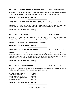### **ARTICLE 14: TRANSFER - SEWER ENTERPRISE FUND Mover: James Gmeiner**

**MOTION:** I move that the Town vote to transfer the sum of \$100,000 from the Sewer Enterprise Fund Surplus to the Fiscal Year 2017 Sewer Enterprise Department budget.

 $\mathcal{L}_\text{max}$  , where  $\mathcal{L}_\text{max}$  and  $\mathcal{L}_\text{max}$ 

**Quantum of Town Meeting Vote: Majority** 

### **ARTICLE 15: TRANSFER - CABLE ENTERPRISE FUND Mover: Janet Sheffield**

**MOTION:** I move that the Town vote to transfer the sum of \$10,000 from the Cable Enterprise Fund Surplus to the Fiscal Year 2017 Cable Enterprise Department budget.

 $\mathcal{L}_\text{max}$  , where  $\mathcal{L}_\text{max}$  is the set of the set of the set of the set of the set of the set of the set of the set of the set of the set of the set of the set of the set of the set of the set of the set of the se

**Quantum of Town Meeting Vote: Majority** 

# **ARTICLE 16: PRIOR YEAR BILLS Mover: Anna Eliot Mover: Anna Eliot**

**MOTION A:** I move that the Town vote to transfer the sum of \$0 from the Excess and Deficiency Fund (Free Cash) to pay for the payment of unpaid bills from prior fiscal years.

**MOTION B:** I move that this Article be indefinitely postponed.

**Quantum of Town Meeting Vote: Majority** 

### ARTICLE 17: ALL ARE WELCOME MARKERS Mover: John Petropoulos

**MOTION**: I move that the Town vote to raise and appropriate the sum of \$1, to be expended by the Town Manager, for the installation of "All Are Welcome" markers at the various major road entrances to the Town of Groton, and all cost related and associated thereto; and to authorize the Town Manager to designate or approve the marker locations.

 $\mathcal{L}_\text{max}$  , where  $\mathcal{L}_\text{max}$  and  $\mathcal{L}_\text{max}$ 

**Quantum of Town Meeting Vote: Majority** 

### **ARTICLE 18: CPA FUNDING ACCOUNTS MOVEY: Bruce Easom Mover: Bruce Easom**

**MOTION:** I move that the Town vote to appropriate and allocate the following sums from the Community Preservation Fund to the following sub accounts:

 $\mathcal{L}_\text{max}$  , where  $\mathcal{L}_\text{max}$  and  $\mathcal{L}_\text{max}$ 

| \$10,000  |
|-----------|
| \$65,000  |
| \$65,000  |
| \$65,000  |
| \$445,000 |
|           |

**Quantum of Town Meeting Vote: Majority** 

2017 Spring Town Meeting Motions Page 9

 $\mathcal{L}_\text{max}$  , where  $\mathcal{L}_\text{max}$  and  $\mathcal{L}_\text{max}$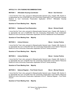# **ARTICLE 19: CPA FUNDING RECOMMENDATIONS**

# **MOTION 1:** Affordable Housing Coordinator **Mover: Dan Emerson**

I move that the Town vote, pursuant to Massachusetts General Laws, Chapter 44B, Section 5, to appropriate the sum of \$43,506 from the Community Preservation Fund Community Housing Reserve to fund Community Preservation Application 2018-01 "Affordable Housing Coordinator".

### **Quantum of Town Meeting Vote: Majority**

### **MOTION 2: Baddacook Pond Restoration Mover: Richard Hewitt**

I move that the Town vote, pursuant to Massachusetts General Laws, Chapter 44B, Section 5, to appropriate the sum of \$200,000 from the Community Preservation Fund Unallocated Reserve to fund Community Preservation Application 2018-02 "Baddacook Pond Restoration".

### **Quantum of Town Meeting Vote: Majority**

# **MOTION 3: Library Entrance Mover: Carolyn Perkins Carolyn Perkins and American Carolyn Perkins and American Carolyn Perkins and American Carolyn Perkins and American Carolyn Perkins and American Carolyn Perkins and Americ**

I move that the Town vote, pursuant to Massachusetts General Laws, Chapter 44B, Section 5, to appropriate the sum of \$15,000 from the Community Preservation Fund Historic Resource Reserve to fund Community Preservation Application 2018-04 "Library Entrance".

# **Quantum of Town Meeting Vote: Majority**

# **MOTION 4:** Library Building **Motion Contract Carolyn Perkins** Mover: Carolyn Perkins

I move that the Town vote, pursuant to Massachusetts General Laws, Chapter 44B, Section 5, to appropriate the sum of \$5,000 from the Community Preservation Fund Historic Resource Reserve to fund Community Preservation Application 2018-05 "Library Building".

# **Quantum of Town Meeting Vote: Majority**

# **MOTION 5:** National Register – First Parish Church Mover: Michael Roberts

I move that the Town vote, pursuant to Massachusetts General Laws, Chapter 44B, Section 5, to appropriate the sum of \$7,800 from the Community Preservation Fund Historic Resource Reserve to fund Community Preservation Application 2018-07 "National Register – First Parish Church".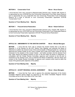### **MOTION 6: Conservation Fund Mover: Bruce Easom Mover: Bruce Easom**

I move that the Town vote, pursuant to Massachusetts General Laws, Chapter 44B, Section 5, to appropriate the sum of \$5,000 from the Community Preservation Fund Open Space Reserve and to appropriate the sum of \$20,000 from the Community Preservation Fund Unallocated Reserve for a total of \$25,000 to fund Community Preservation Application 2018-08 "Conservation Fund".

# **Quantum of Town Meeting Vote: Majority**

# **MOTION 7:** Prescott School Restoration **Mover: Robert DeGroot**

I move that the Town vote, pursuant to Massachusetts General Laws, Chapter 44B, Section 5, to appropriate the sum of \$15,350 from the Community Preservation Fund Unallocated Reserve to fund Community Preservation Application 2018-09 "Prescott School Restoration".

 $\mathcal{L}_\text{max}$  , where  $\mathcal{L}_\text{max}$  and  $\mathcal{L}_\text{max}$ 

# **Quantum of Town Meeting Vote: Majority**

# **ARTICLE 20: AMENDMENTS TO THE GROTON CHARTER Mover: Michael Manugian**

**MOTION:** I move that the Town vote to endorse the revised Charter that is set forth in Appendix C of the Warrant for the 2017 Spring Town Meeting, and authorize the Board of Selectmen to petition the General Court of the Commonwealth of Massachusetts for a special act approving the revised Charter as the Town's Charter and to take such further action as may be necessary for the adoption of the revised Charter; and further provided, that the General Court may make clerical and editorial revisions of form to the bill unless the Board of Selectmen, in consultation with the Charter Review Committee, approves such revisions to the bill prior to enactment by the General Court, and to authorize the Board of Selectmen, with the advice and consent of the Charter Review Committee, to approve such revisions which shall be within the scope of the general public objectives of the petition.

# **Quantum of Town Meeting Vote: Majority**

# **ARTICLE 21: ACCEPT REGIONAL SCHOOL AGREEMENT Mover: Alison Manugian**

 $\mathcal{L}_\text{max}$  , where  $\mathcal{L}_\text{max}$  is the set of the set of the set of the set of the set of the set of the set of the set of the set of the set of the set of the set of the set of the set of the set of the set of the se

**MOTION:** I move that the Town vote to approve the amended Agreement of the Groton Dunstable Regional School District as approved by the Groton Dunstable Regional School Committee and as on file in the Office of the Town Clerk.

 $\mathcal{L}_\text{max}$  , where  $\mathcal{L}_\text{max}$  and  $\mathcal{L}_\text{max}$ 

# **Quantum of Town Meeting Vote: Majority**

2017 Spring Town Meeting Motions Page 11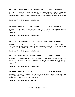### **ARTICLE 22: AMEND CHAPTER 218 – ZONING CODE Mover: Scott Wilson**

**MOTION:** I move that the Town vote to amend the Code of the Town of Groton, Chapter 218 Zoning as follows: Add definitions to Section 218-4; Revise Section 218-13, Schedule of Use Regulations; and add Section 218-16.1 "Registered Medical Marijuana Dispensaries" as set forth in the Warrant.

 $\mathcal{L}_\text{max}$  , where  $\mathcal{L}_\text{max}$  and  $\mathcal{L}_\text{max}$ 

### **Quantum of Town Meeting Vote: 2/3's Majority**

### **ARTICLE 23: AMEND CHAPTER 218 – ZONING Mover: Russ Burke**

**MOTION:** I move that the Town vote to amend the Code of the Town of Groton, Chapter 218 Zoning as follows: Revise Section 218-25, Site Plan Review, Subsection C, as set forth in the Warrant.

### **Quantum of Town Meeting Vote: 2/3's Majority**

# **ARTICLE 24: AMEND ZONING CHAPTER – CONCEPT PLAN Mover: Russ Burke**

**MOTION:** I move that the Town vote to amend the Code of the Town of Groton, Chapter 218 Zoning as follows: Revise Section 218-4, Definitions and Section 218-18, Special Use considerations in R-B, VCB, NB, GB and I Districts, as set forth in the Warrant.

 $\mathcal{L}_\text{max}$  , where  $\mathcal{L}_\text{max}$  is the set of the set of the set of the set of the set of the set of the set of the set of the set of the set of the set of the set of the set of the set of the set of the set of the se

### **Quantum of Town Meeting Vote: 2/3's Majority**

### **ARTICLE 25: MORATORIUM ON REC MARIJUANA Mover: Anna Eliot**

**MOTION:** I move that the Town vote to amend the Town's Zoning Bylaw by adding a new Section 218-16.2**,** entitled: "Temporary Moratorium on Recreational Marijuana Establishments," and adding a reference to that section in the Bylaw's Table of Contents, as set forth in the **Warrant** 

 $\mathcal{L}_\text{max}$  , where  $\mathcal{L}_\text{max}$  and  $\mathcal{L}_\text{max}$ 

# **Quantum of Town Meeting Vote: 2/3's Majority**

# **ARTICLE 26: AMEND CHAPTER 175 Mover: Barry Pease**

**MOTION:** I move that the Town vote to amend the Code of the Town of Groton by deleting Chapter 175, "Retail Sales, Hours Of" in its entirety and replacing it with a new Chapter 175, "Retail Sales, Hours Of", as set forth in the Warrant.

 $\mathcal{L}_\text{max}$  , where  $\mathcal{L}_\text{max}$  is the set of the set of the set of the set of the set of the set of the set of the set of the set of the set of the set of the set of the set of the set of the set of the set of the se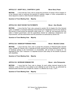# **ARTICLE 27: ADOPT M.G.L. CHAPTER 41, §41B Mover Barry Pease**

**MOTION:** I move that the Town vote to accept the provisions of section 41B of chapter 41 of the General Laws to authorize the payment of salaries, wages, or other compensation by direct deposit to a bank or other financial institution account.

 $\mathcal{L}_\text{max}$  , where  $\mathcal{L}_\text{max}$  is the set of the set of the set of the set of the set of the set of the set of the set of the set of the set of the set of the set of the set of the set of the set of the set of the se

# **Quantum of Town Meeting Vote: Majority**

# **ARTICLE 28: BOAT EXCISE TAX PAYMENTS Mover: Alex Woodle**

**MOTION:** I move that the Town vote, pursuant to section 5G of chapter 40 of the General Laws, to establish a municipal waterways improvement and maintenance fund for the receipt of fifty percent of boat excise tax payments made under G.L. c. 60B, §2, and payments from the state or federal government, and the expenditure thereof for waterways maintenance and improvements, and law enforcement and fire prevention as authorized by section 5G.

# **Quantum of Town Meeting Vote: Majority**

# **ARTICLE 29: HANDICAP PARKING FINES MOVER MOVER: Michelle Collette**

**MOTION:** I move that the Town vote to accept the provisions of Massachusetts General Laws, Chapter 40, Section 22G, to allocate all funds received from fines assessed for violations of handicap parking to the Commission on Accessibility, with all funds so received to be deposited by the Town Treasurer in a separate account used solely for the benefit of persons with disabilities.

 $\mathcal{L}_\text{max}$  , where  $\mathcal{L}_\text{max}$  and  $\mathcal{L}_\text{max}$ 

# **Quantum of Town Meeting Vote: Majority**

# **ARTICLE 30: INCREASE DEMAND FEE MOVER MOVER: John Petropoulos**

**MOTION:** I move that the Town vote to charge, for each written demand issued by the Collector, a fee of \$10.00, to be added to and collected as part of the tax, as authorized by Massachusetts General Laws Chapter 60, Section 15, effective as of July 1, 2017.

 $\mathcal{L}_\text{max}$  , where  $\mathcal{L}_\text{max}$  and  $\mathcal{L}_\text{max}$ 

 $\mathcal{L}_\text{max}$  , where  $\mathcal{L}_\text{max}$  is the set of the set of the set of the set of the set of the set of the set of the set of the set of the set of the set of the set of the set of the set of the set of the set of the se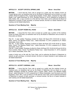### **ARTICLE 31: ACCEPT CRYSTAL SPRING LANE Mover: Anna Eliot**

**MOTION:** I move that the Town vote to accept as a public way the roadway known as Crystal Spring Lane, as heretofore laid out by the Board of Selectmen and as shown on a plan entitled "Street Acceptance Plan, Crystal Spring Estates, Groton, Mass, prepared for High Oaks Realty Trust" dated December 23, 2014, Revised February 2, 2016, prepared by Ducharme & Dillis, Bolton, MA, a copy of which is on file with the Town Clerk, and to authorize the Board of Selectmen to acquire, by gift, purchase, or eminent domain, the fee to or lesser interests in said roadway and all related easements.

### **Quantum of Town Meeting Vote: Majority**

### **ARTICLE 32: ACCEPT ROBIN HILL ROAD Mover: Anna Eliot**

**MOTION:** I move that the Town vote to accept as a public way a portion of the roadway known as Robin Hill Road, as heretofore laid out by the Board of Selectmen and as shown on three plans as follows:

 $\mathcal{L}_\text{max}$  , where  $\mathcal{L}_\text{max}$  and  $\mathcal{L}_\text{max}$ 

Plan #1 - A plan entitled "Roadway As-Built for Robin Hill Road STA 0+00-9+00 In Groton, Mass. Owner: Fox Meadow Realty Corp.", dated December 15, 2014, prepared by R. Wilson Associates, Acton, MA;

Plan #2 - A plan entitled "Roadway As-Built for Robin Hill Road STA 9+00-18+00 In Groton, Mass. Owner: Fox Meadow Realty Corp.", dated December 15, 2014, prepared by R. Wilson Associates, Acton, MA;

Plan #3 - A plan entitled "Roadway As-Built for Robin Hill Road STA 18+00-24+00 and 24+00 to End In Groton, Mass. Owner: Fox Meadow Realty Corp.", dated December 21, 2015, prepared by R. Wilson Associates, Acton, MA;

copies of which are on file with the Town Clerk, and to authorize the Board of Selectmen to acquire, by gift, purchase, or eminent domain, the fee to or lesser interests in said roadway and all related easements.

 $\mathcal{L}_\text{max}$  , where  $\mathcal{L}_\text{max}$  and  $\mathcal{L}_\text{max}$ 

# **Quantum of Town Meeting Vote: Majority**

# **ARTICLE 33: ACCEPT CARDINAL LANE MOVER CONSTRAINER MOVER Anna Eliot**

**MOTION:** I move that the Town vote to accept as a public way the roadway known as Cardinal Lane, as heretofore laid out by the Board of Selectmen and as shown on a plan entitled "Roadway As-Built for Cardinal Lane in Groton, Mass. Owner: Fox Meadow Realty Group", dated December 15, 2014, prepared by R. Wilson Associates, Land Surveyors and Civil Engineers, Acton, MA, a copy of which is on file with the Town Clerk, and to authorize the Board of Selectmen to acquire, by gift, purchase, or eminent domain, the fee to or lesser interests in said roadway and all related easements.

# **Quantum of Town Meeting Vote: Majority**

2017 Spring Town Meeting Motions Page 14

 $\mathcal{L}_\text{max}$  , where  $\mathcal{L}_\text{max}$  is the set of the set of the set of the set of the set of the set of the set of the set of the set of the set of the set of the set of the set of the set of the set of the set of the se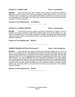### **ARTICLE 34: CONVEY LAND MOVE 1 2008 10:00 MOVE 2008 10:00 MOVE 2008 10:00 MOVE 20:00 MOVE 20:00 MOVE 20:00 MOVE 20:00 MOVE 20:00 MOVE 20:00 MOVE 20:00 MOVE 20:00 MOVE 20:00 MOVE 20:00 MOVE 20:00 MOVE 20:00 MOVE 20:00 MOVE**

**MOTION:** I move that the Town vote to transfer to the custody and control of the Board of Selectmen a certain parcel of land shown on Assessors' Map 128 as Parcel 12 Lot 0 for the purpose of sale or conveyance, and to authorize the Board of Selectmen to convey such land for consideration of \$1.00 to Ms. Linda Grey, and to take all actions and execute all documents required in connection therewith.

 $\mathcal{L}_\text{max}$  , where  $\mathcal{L}_\text{max}$  and  $\mathcal{L}_\text{max}$ 

# **Quantum of Town Meeting Vote: 2/3's Majority**

# **ARTICLE 35: CITIZENS' PETITION Mover: Greg Fishbone**

**MOTION:** I move that the vote to require the Board of Selectmen to appoint a five (5) member Town Seal Committee charged with soliciting public input into the design for a new Town Seal; selecting from among the submissions received, the design that best embodies Groton's character, history and aspirational values; and presenting that design to a future Town Meeting for approval.

### **Quantum of Town Meeting Vote: Majority**

### **CONSENT AGENDA: ARTICLES 36 through 41 Mover: John Petropoulos**

**MOTION:** I move that the Town vote to combine for consideration Articles 36, 37, 38, 39, 40 and 41 of the Warrant for this Town Meeting and that the Town take affirmative action on said articles without debate and in accordance with the action proposed under each, and that, with respect to Article 37, the Town appropriate, pursuant to Massachusetts General Laws, Chapter 44B, Section 5, the sum of \$80,000 from the Community Preservation Fund Open Space Reserve and the sum of \$396,722 from the Community Preservation Fund Unallocated Reserve for a total of \$476,722 to fund the Surrenden Farm debt service for Fiscal Year 2018; provided, however, that if any voter, prior to the taking of the vote, requests the right to debate a specific article, then said article shall be removed from this motion and acted upon in the ordinary course of business.

 $\mathcal{L}_\text{max}$  , where  $\mathcal{L}_\text{max}$  and  $\mathcal{L}_\text{max}$